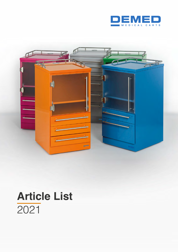



# **Article List** 2021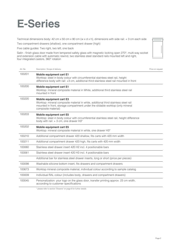## **E-Series**

Technical dimensions body: 42 cm x 50 cm x 90 cm (w x d x h), dimensions with side rail: + 3 cm each side

Two compartment drawers (shallow), one compartment drawer (high)

Five cable guides: Two right, two left, one back

Satin - finish glass door made from tempered safety glass with magnetic locking open 270°, multi-way socket and extension cable with automatic rewind, two stainless steel standard rails mounted left and right, four integrated castors, 360° rotation

| Art. No. | Description / Scope of delivery                                                                                                                                                                                                 | Price on request |
|----------|---------------------------------------------------------------------------------------------------------------------------------------------------------------------------------------------------------------------------------|------------------|
| 100201   | <b>Mobile equipment cart E1</b><br>Worktop: steel in body colour with circumferential stainless steel rail, height<br>difference body with rail: +3 cm, additional third stainless steel rail mounted in front                  |                  |
| 100200   | <b>Mobile equipment cart E1</b><br>Worktop: mineral composite material in White, additional third stainless steel rail<br>mounted in front                                                                                      |                  |
| 100220   | <b>Mobile equipment cart E3</b><br>Worktop: mineral composite material in white, additional third stainless steel rail<br>mounted in front, storage compartment under the slidable worktop (only mineral<br>composite material) |                  |
| 100203   | <b>Mobile equipment cart E5</b><br>Worktop: steel in body colour with circumferential stainless steel rail, height difference<br>body with rail: $+3$ cm, one drawer H3*                                                        |                  |
| 100202   | <b>Mobile equipment cart E5</b><br>Worktop: mineral composite material in white, one drawer H3*                                                                                                                                 |                  |
| 100210   | Additional compartment drawer 420 shallow, fits carts with 420 mm width                                                                                                                                                         |                  |
| 100211   | Additional compartment drawer 420 high, fits carts with 420 mm width                                                                                                                                                            |                  |
| 100060   | Stainless steel drawer insert 420 H2 incl. 4 positionable bars                                                                                                                                                                  |                  |
| 100061   | Stainless steel drawer insert 420 H3 incl. 4 positionable bars                                                                                                                                                                  |                  |
|          | Additional bar for stainless steel drawer inserts, long or short (price per pieces)                                                                                                                                             |                  |
| 100098   | Washable silicone bottom insert, fits drawers and compartment drawers                                                                                                                                                           |                  |
| 100673   | Worktop mineral composite material, individual colour according to sample catalog                                                                                                                                               |                  |
| 100009   | Individual RAL colour (includes body, drawers and compartment drawers)                                                                                                                                                          |                  |
| 100045   | Personalization: your logo on the glass door, transfer printing approx. 23 cm width,<br>according to customer specifications                                                                                                    |                  |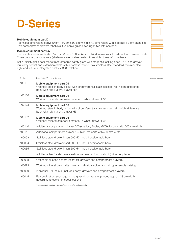## **D-Series**

### **Mobile equipment cart D1**

Technical dimensions body: 50 cm x 50 cm x 90 cm (w x d x h), dimensions with side rail: + 3 cm each side Two compartment drawers (shallow), five cable guides: two right, two left, one back

### **Mobile equipment cart D5**

Technical dimensions body: 50 cm x 50 cm x 108cm (w x d x h), dimensions with side rail: + 3 cm each side Three compartment drawers (shallow), seven cable guides: three right, three left, one back

Satin - finish glass door made from tempered safety glass with magnetic locking open 270°, one drawer, mutli-way socket and extension cable with automatic rewind, two stainless steel standard rails mounted right and left, four integrated castors, 360° rotation

| Art. No. | Description / Scope of delivery                                                                                                                                      | Price on request |
|----------|----------------------------------------------------------------------------------------------------------------------------------------------------------------------|------------------|
| 100101   | <b>Mobile equipment cart D1</b><br>Worktop: steel in body colour with circumferential stainless steel rail, height difference<br>body with rail: $+3$ cm, drawer H3* |                  |
| 100100   | <b>Mobile equipment cart D1</b><br>Worktop: mineral composite material in White, drawer H3*                                                                          |                  |
| 100103   | <b>Mobile equipment cart D5</b><br>Worktop: steel in body colour with circumferential stainless steel rail, height difference<br>body with rail: + 3 cm, drawer H3*  |                  |
| 100102   | <b>Mobile equipment cart D5</b><br>Worktop: mineral composite material in White, drawer H3*                                                                          |                  |
| 100110   | Additional compartment drawer 500 (shallow, Tablar, MKG) fits carts with 500 mm width                                                                                |                  |
| 100111   | Additional compartment drawer 500 high, fits carts with 500 mm width                                                                                                 |                  |
| 100063   | Stainless steel drawer insert 500 H2*, incl. 4 positionable bars                                                                                                     |                  |
| 100064   | Stainless steel drawer insert 500 H3*, incl. 4 positionable bars                                                                                                     |                  |
| 100065   | Stainless steel drawer insert 500 H4*, incl. 4 positionable bars                                                                                                     |                  |
|          | Additional bar for stainless steel drawer inserts, long or short (price per pieces)                                                                                  |                  |
| 100098   | Washable silicone bottom insert, fits drawers and compartment drawers                                                                                                |                  |
| 100673   | Worktop mineral composite material, individual colour according to sample catalog                                                                                    |                  |
| 100009   | Individual RAL colour (includes body, drawers and compartment drawers)                                                                                               |                  |
| 100045   | Personalization: your logo on the glass door, transfer printing approx. 23 cm width,<br>according to customer specifications                                         |                  |

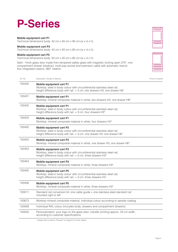## **P-Series**

### **Mobile equipment cart P1**

Technical dimensions body: 42 cm x 50 cm x 90 cm (w x d x h).

### **Mobile equipment cart P3**

Technical dimensions body: 42 cm x 50 cm x 80 cm (w x d x h).

### **Mobile equipment cart P5**

Technical dimensions body: 50 cm x 50 cm x 80 cm (w x d x h).

Satin - finish glass door made from tempered safety glass with magnetic locking open 270°, one compartment drawer (shallow), multi-way socket and extension cable with automatic rewind four integrated castors, 360° rotation

| Art. No. | Description / Scope of delivery                                                                                                                                                         | Price on request |
|----------|-----------------------------------------------------------------------------------------------------------------------------------------------------------------------------------------|------------------|
| 100420   | <b>Mobile equipment cart P1</b><br>Worktop: steel in body colour with circumferential stainless steel rail,<br>height difference body with rail: + 3 cm, two drawers H3, one drawer H6* |                  |
| 100421   | <b>Mobile equipment cart P1</b><br>Worktop: mineral composite material in white, two drawers H3, one drawer H6*                                                                         |                  |
| 100422   | <b>Mobile equipment cart P1</b><br>Worktop: steel in body colour with circumferential stainless steel rail,<br>height difference body with rail: + 3 cm, four drawers H3*               |                  |
| 100423   | <b>Mobile equipment cart P1</b><br>Worktop: mineral composite material in white, four drawers H3*                                                                                       |                  |
| 100450   | Mobile equipment cart P3<br>Worktop: steel in body colour with circumferential stainless steel rail,<br>height difference body with rail: + 3 cm, one drawer H3, one drawer H6*         |                  |
| 100452   | Mobile equipment cart P3<br>Worktop: mineral composite material in white, one drawer H3, one drawer H6*                                                                                 |                  |
| 100453   | Mobile equipment cart P3<br>Worktop: steel in body colour with circumferential stainless steel rail,<br>height difference body with rail: + 3 cm, three drawers H3*                     |                  |
| 100454   | Mobile equipment cart P3<br>Worktop: mineral composite material in white, three drawers H3*                                                                                             |                  |
| 100455   | <b>Mobile equipment cart P5</b><br>Worktop: steel in body colour with circumferential stainless steel rail,<br>height difference body with rail: + 3 cm, three drawers H3               |                  |
| 100456   | Mobile equipment cart P5<br>Worktop: mineral composite material in white, three drawers H3*                                                                                             |                  |
| 100011   | Standard rail conversion kit: one cable guide + one stainless steel standard rail<br>mounted right or left                                                                              |                  |
| 100673   | Worktop mineral composite material, individual colour according to sample catalog                                                                                                       |                  |
| 100009   | Individual RAL colour (includes body, drawers and compartment drawers)                                                                                                                  |                  |
| 100045   | Personalization: your logo on the glass door, transfer printing approx. 23 cm width,<br>according to customer specifications                                                            |                  |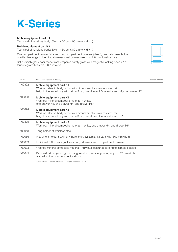## **K-Series**

### **Mobile equipment cart K1**

Technical dimensions body: 50 cm x 50 cm x 90 cm (w x d x h)

### **Mobile equipment cart K3**

Technical dimensions body: 50 cm x 50 cm x 80 cm (w x d x h)

One compartment drawer (shallow), two compartment drawers (deep), one instrument holder, one flexible tongs holder, two stainless steel drawer inserts incl. 6 positionable bars

Satin - finish glass door made from tempered safety glass with magnetic locking open 270°, four integrated castors, 360° rotation

| Art. No. | Description / Scope of delivery                                                                                                                                                                                    | Price on request |
|----------|--------------------------------------------------------------------------------------------------------------------------------------------------------------------------------------------------------------------|------------------|
| 100822   | <b>Mobile equipment cart K1</b><br>Worktop: steel in body colour with circumferential stainless steel rail,<br>height difference body with rail: $+3$ cm, one drawer H3, one drawer H4, one drawer H5 <sup>*</sup> |                  |
| 100823   | <b>Mobile equipment cart K1</b><br>Worktop: mineral composite material in white,<br>one drawer H3, one drawer H4, one drawer H5*                                                                                   |                  |
| 100824   | Mobile equipment cart K3<br>Worktop: steel in body colour with circumferential stainless steel rail,<br>height difference body with rail: $+3$ cm, one drawer H4, one drawer H5*                                   |                  |
| 100825   | Mobile equipment cart K3<br>Worktop: mineral composite material in white, one drawer H4, one drawer H5*                                                                                                            |                  |
| 100013   | Tong holder of stainless steel                                                                                                                                                                                     |                  |
| 100056   | Instrument holder 500 incl. 4 bars, max. 52 items, fits carts with 500 mm width                                                                                                                                    |                  |
| 100009   | Individual RAL colour (includes body, drawers and compartment drawers)                                                                                                                                             |                  |
| 100673   | Worktop mineral composite material, individual colour according to sample catalog                                                                                                                                  |                  |
| 100045   | Personalization: your logo on the glass door, transfer printing approx. 23 cm width,<br>according to customer specifications                                                                                       |                  |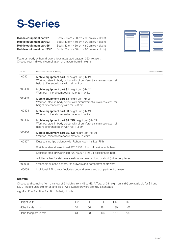

| Mobile equipment cart S1   | Body: 50 cm $\times$ 50 cm $\times$ 90 cm (w $\times$ d $\times$ h) |
|----------------------------|---------------------------------------------------------------------|
| Mobile equipment cart S3   | Body: 42 cm $\times$ 50 cm $\times$ 90 cm (w $\times$ d $\times$ h) |
| Mobile equipment cart S5   | Body: 42 cm $\times$ 50 cm $\times$ 80 cm (w $\times$ d $\times$ h) |
| Mobile equipment cart S5 B | Body: 50 cm $\times$ 50 cm $\times$ 80 cm (w $\times$ d $\times$ h) |



Features: body without drawers, four integrated castors, 360° rotation. Choose your individual combination of drawers from 5 heights.

| Art. No. | Description / Scope of delivery                                                                                                                                              | Price on request |
|----------|------------------------------------------------------------------------------------------------------------------------------------------------------------------------------|------------------|
| 100401   | Mobile equipment cart S1 height unit (H): 24<br>Worktop: steel in body colour with circumferential stainless steel rail,<br>height difference body with rail: $+3$ cm        |                  |
| 100400   | Mobile equipment cart S1 height unit (H): 24<br>Worktop: mineral composite material in white                                                                                 |                  |
| 100403   | <b>Mobile equipment cart S3</b> height unit (H): 24<br>Worktop: steel in body colour with circumferential stainless steel rail,<br>height difference body with rail: $+3$ cm |                  |
| 100404   | Mobile equipment cart S3 height unit (H): 24<br>Worktop: mineral composite material in white                                                                                 |                  |
| 100405   | Mobile equipment cart S5 / SB height unit (H): 21<br>Worktop: steel in body colour with circumferential stainless steel rail,<br>height difference body with rail: + 3 cm    |                  |
| 100406   | Mobile equipment cart S5 / SB height unit (H): 21<br>Worktop: mineral composite material in white                                                                            |                  |
| 100407   | Dust sealing lips belongs with Robert Koch-Institut (RKI)                                                                                                                    |                  |
|          | Stainless steel drawer insert 420 / 500 H2 incl. 4 positionable bars                                                                                                         |                  |
|          | Stainless steel drawer insert 420 / 500 H3 incl. 4 positionable bars                                                                                                         |                  |
|          | Additional bar for stainless steel drawer inserts, long or short (price per pieces)                                                                                          |                  |
| 100098   | Washable silicone bottom, fits drawers and compartment drawers                                                                                                               |                  |
| 100009   | Individual RAL colour (includes body, drawers and compartment drawers)                                                                                                       |                  |

### **Drawers**

Choose and combine from a variety of 5 heights from H2 to H6. A Total of 24 height units (H) are available for S1 and S3, 21 height units (H) for S5 and S5 B. All S-Series drawers are fully extendable.

e.g.  $4 \times H3 + 2 \times H4 + 2 \times H2 = 24$  height units

| Height units         | Н2 | HЗ | H4  | Н5  | Н6  |
|----------------------|----|----|-----|-----|-----|
| Höhe inside in mm    | 34 | 66 | 98  | 130 | 162 |
| Höhe faceplate in mm | 61 | 93 | 125 | 157 | 189 |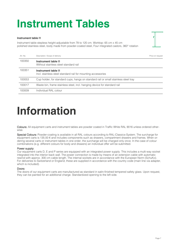# **Instrument Tables**

### **Instrument table I1**

Instrument table stepless height-adjustable from 78 to 120 cm. Worktop: 65 cm x 45 cm polished stainless steel, body made from powder-coated steel, Four integrated castors, 360° rotation



| Art. No. | Description / Scope of delivery                                                     | Price on request |
|----------|-------------------------------------------------------------------------------------|------------------|
| 100350   | Instrument table I1<br>Without stainless steel standard rail                        |                  |
| 100351   | Instrument table I1<br>Incl. stainless steel standard rail for mounting accessories |                  |
| 100053   | Cup holder, for standard cups, hangs on standard rail or small stainless steel tray |                  |
| 100017   | Waste bin, frame stainless steel, incl. hanging device for standard rail            |                  |
| 100009   | Individual RAL colour                                                               |                  |

## **Information**

Colours: All equipment carts and instrument tables are powder coated in Traffic White RAL 9016 unless ordered otherwise.

Special Colours: Powder-coating is available in all RAL colours according to RAL-Classics-System. The surcharge for equipment carts is 135.00 € and includes components such as drawers, compartment drawers and frames. When ordering several carts or instrument tables in one order, the surcharge will be charged only once. In the case of colour combinations (e.g. different colours for body and drawers) an individual offer will be submitted.

### Power supply:

Our equipment carts D, E and P series are equipped with an integrated power supply. This includes a multi-way socket integrated into the interior back wall. The power connection is made by means of an extension cable with automatic rewind with approx. 300 cm cable length. The internal sockets are in accordance with the European Norm (SchuKo). For deliveries to Switzerland or England, these are supplied in accordance with the country code (main line via adapter, which is included).

### Doors:

The doors of our equipment carts are manufactured as standard in satin-finished tempered safety glass. Upon request, they can be painted for an additional charge. Standardized opening to the left side.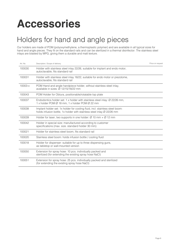## **Accessories**

### Holders for hand and angle pieces

Our holders are made of POM (polyoxymethylene, a thermoplastic polymer) and are available in all typical sizes for hand and angle pieces. They fit on the standard rails and can be sterilized in a thermal disinfector. The stainless steel inlays are blasted by MPG, giving them a durable and matt texture.

| Art. No.  | Description / Scope of delivery                                                                                                                                    | Price on request |
|-----------|--------------------------------------------------------------------------------------------------------------------------------------------------------------------|------------------|
| 100030    | Holder with stainless steel inlay 22/26, suitable for implant and endo motor,<br>autoclavable, fits standard rail                                                  |                  |
| 100031    | Holder with stainless steel inlay 18/22, suitable for endo motor or piezotome,<br>autoclavable, fits standard rail                                                 |                  |
| $10003-x$ | POM Hand and angle handpiece holder, without stainless steel inlay,<br>available in sizes: $\varnothing$ 12/15/18/22 mm                                            |                  |
| 100043    | POM Holder for Obtura, positionable/rotatable top plate                                                                                                            |                  |
| 100037    | Endodontics holder set: 1 x holder with stainless steel inlay: $\varnothing$ 22/26 mm,<br>1 x holder POM $\varnothing$ 18 mm, 1 x holder POM $\varnothing$ 22 mm   |                  |
| 100038    | Implant holder set: 1x holder for cooling fluid, incl. stainless steel boom:<br>holds infusion bottle, 1x holder with stainless steel inlay $\varnothing$ 22/26 mm |                  |
| 100039    | Holder for laser, two supports in one holder: $\varnothing$ 10 mm + $\varnothing$ 12 mm                                                                            |                  |
| 100042    | Holder in special size: manufactured according to customer<br>specifications (max. size. standard holder 30 mm)                                                    |                  |
| 100021    | Holder for stainless steel boom, fits standard rail                                                                                                                |                  |
| 100020    | Stainless steel boom: holds infusion bottle / cooling fluid                                                                                                        |                  |
| 100018    | Holder for dispenser: suitable for up to three dispensing guns,<br>as tabletop or wall-mounted version                                                             |                  |
| 100050    | Extension for spray hose: 10 pcs. individually packed and<br>sterilized (for extending the existing spray hose NaCl)                                               |                  |
| 100051    | Extension for spray hose: 25 pcs. individually packed and sterilized<br>(for extending the existing spray hose NaCI)                                               |                  |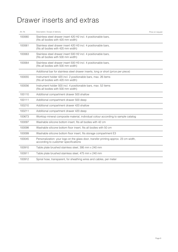### Drawer inserts and extras

| Art. Nr. | Description / Scope of delivery                                                                                              | Price on request |
|----------|------------------------------------------------------------------------------------------------------------------------------|------------------|
| 100060   | Stainless steel drawer insert 420 H2 incl. 4 positionable bars,<br>(fits all bodies with 420 mm width)                       |                  |
| 100061   | Stainless steel drawer insert 420 H3 incl. 4 positionable bars,<br>(fits all bodies with 420 mm width)                       |                  |
| 100063   | Stainless steel drawer insert 500 H2 incl. 4 positionable bars,<br>(fits all bodies with 500 mm width)                       |                  |
| 100064   | Stainless steel drawer insert 500 H3 incl. 4 positionable bars,<br>(fits all bodies with 500 mm width)                       |                  |
|          | Additional bar for stainless steel drawer inserts, long or short (price per piece)                                           |                  |
| 100055   | Instrument holder 420 incl. 2 positionable bars, max. 26 items<br>(fits all bodies with 420 mm width)                        |                  |
| 100056   | Instrument holder 500 incl. 4 positionable bars, max. 52 items<br>(fits all bodies with 500 mm width)                        |                  |
| 100110   | Additional compartment drawer 500 shallow                                                                                    |                  |
| 100111   | Additional compartment drawer 500 deep                                                                                       |                  |
| 100210   | Additional compartment drawer 420 shallow                                                                                    |                  |
| 100211   | Additional compartment drawer 420 deep                                                                                       |                  |
| 100673   | Worktop mineral composite material, individual colour according to sample catalog                                            |                  |
| 100097   | Washable silicone bottom insert, fits all bodies with 42 cm                                                                  |                  |
| 100098   | Washable silicone bottom floor insert, fits all bodies with 50 cm                                                            |                  |
| 100099   | Washable silicone bottom floor insert, fits storage compartment E3                                                           |                  |
| 100045   | Personalization: your logo on the glass door, transfer printing approx. 23 cm width,<br>according to customer specifications |                  |
| 100910   | Table plate brushed stainless steel, 395 mm x 240 mm                                                                         |                  |
| 100911   | Table plate brushed stainless steel, 475 mm x 240 mm                                                                         |                  |
| 100912   | Spiral hose, transparent, for sheathing wires and cables, per meter                                                          |                  |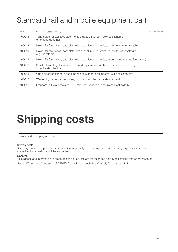### Standard rail and mobile equipment cart

| Art. No. | Description / Scope of delivery                                                                            | Price on request |
|----------|------------------------------------------------------------------------------------------------------------|------------------|
| 100013   | Tong holder of stainless steel, flexible up to 26 tongs, freely positionable<br>or to hang up to rail      |                  |
| 100014   | Holder for footswitch: baseplate with clip, aluminum, white, small (for one footswitch)                    |                  |
| 100019   | Holder for footswitch: baseplate with clip, aluminum, white, round (for one footswitch,<br>e.g. Piezotome) |                  |
| 100015   | Holder for footswitch, baseplate with clip, aluminum, white, large (for up to three footswitch)            |                  |
| 100052   | Small add-on tray, for accessories and equipment, can be easily and handily hung<br>from the standard rail |                  |
| 100053   | Cup holder for standard cups, hangs on standard rail or small stainless steel tray                         |                  |
| 100017   | Waste bin, frame stainless steel, incl. hanging device for standard rail                                   |                  |
| 100010   | Standard rail: stainless steel, 300 mm, incl. spacer and stainless steel bolts M6                          |                  |

# **Shipping costs**

World wide shipping on request

### Delivery costs:

Shipping costs to the point of use within Germany apply to one equipment cart. For larger quantities or deliveries abroad an individual offer will be submitted.

### General:

Illustrations and information in brochures and price lists are for guidance only. Modifications and errors reserved.

General Terms and Conditions of DEMED Dental Medizintechnik e.K. apply (see pages 11–12).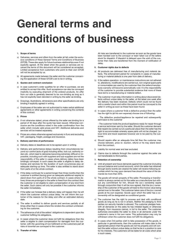# **General terms and conditions of business**

### **1. Scope of terms**

- a) Deliveries, services and offers from the seller all fall under the exclusive conditions of these General Terms and Conditions of Business (GTCB). These also apply for future business relationships even if not explicitly agreed. At the latest when the goods or services are received the terms of this document will be considered as accepted. Limited acceptance from customers who point to their own GTCB will not be accepted by us.
- b) All agreements made between the seller and the customer concerning the application of these GTCB's are to be in writing.

### **2. Quotes and contract conclusion**

- a) In case customer's order qualifies for an offer to purchase, we are entitled to accept this offer. Such acceptance can also be conveyed implicitly by executing shipment of the ordered products. An offer from our side is generally deemed to be non-binding as long as it has not explicitly been denoted in writing by the seller as binding.
- b) Drawings, illustrations, dimensions and other specifications are only binding if explicitly agreed in writing.
- c) Employees of the seller are not authorized to make verbal additional agreements or other agreements in writing concerning the contents of this contract.

#### **3. Prices**

- a) If not otherwise stated, prices offered by the seller are binding for a period of 30 days after the quote has been issued. Otherwise conclusive are the conditions noted in the order confirmation from the seller which include valid prices and VAT. Additional deliveries and services will be treated separately.
- b) Prices are unless otherwise agreed exclusively in Euro and excluding VAT, packaging, freight, postage and insurance.

#### **4. Delivery and time of performance**

- a) Delivery dates or deadlines are to be agreed upon in writing.
- b) Delivery and performance delays resulting from circumstances beyond our control (acts of god) including strike, lock out, authority orders etc. which lead to deliveries becoming extremely difficult or impossible, including such with suppliers and sub-suppliers are not the responsibility of the seller in cases where delivery dates have been bindingly conveyed. In such cases the seller is eligible to delay deliveries and services for the duration of such occurrences plus an adequate starting-up time. The seller is also entitled to stand down from parts of or the whole contract.
- c) If the delay continues for a period longer than three months then the customer is entitled (having given an adequate additional respite) to stand down from parts of or the whole contract. In cases where delivery times are prolonged or the seller is freed from the contract then the customer is not eligible to claim compensation of any kind from the seller. Such claims will only be possible if the customer informs the seller immediately.
- d) If the seller can foresee that a delivery delay will happen then he will inform the customer without undue delay. He will inform the customer of the reasons for the delay and offer an estimated delivery date.
- e) The seller is entitled to deliver goods and services partially at all times other than in cases where this renders the contract uninteresting for the customer.
- f) The adherence of all of the sellers' obligations is dependent upon the customer fulfilling his obligations.
- g) In cases where the customer does not fulfil his obligations then the seller is eligible to claim compensation for damages from the customer, with the upcoming of non-fulfilment on the customers part all risks of downfall are conveyed to the customer.
- **5. Transfer of risks**

All risks are transferred to the customer as soon as the goods have been handed over to the conveyor or been taken out of the sellers stock for dispatch. If dispatch is delayed upon the wish of the customer then risks are transferred from the moment of notification of delay.

### **6. Customer rights due to defects**

- a) All products are delivered free of manufacturing and material defects. The enforcement period for complaints in cases of manufacturing or material defects is one year from date of delivery.
- b) If the sellers operation- or maintenance instructions are not adhered to, alterations, modifications are carried out, non-original spare parts or consumables are used by the customer then the sellers/manufactures warranty will become automatically void. It is the responsibility of the customer to provide substantial evidence that none of these have led to a manufacturing or material defect.
- c) The customer must relay information in writing about discovered defects without undue delay to the seller, at the latest one week after the delivery has been received. Defects which could not be found with a careful check and within this period must be conveved to the seller in writing as soon as these have been found.
- d) In cases where a customer finds a defective product then the seller has the right to (at his own expense) choose one of following:

- The defective product/appliance be repaired and subsequently sent back to the customer

- The customer holds the product/appliance ready for repair through a service technician sent by the seller. Should the customer demand that repairs be carried out at a particular place then the seller has the right to accommodate whereby spare parts will not be charged. Labour-time and travel expenses however are to be paid by the customer.
- e) Should repairs after an adequate time fail then the customer may choose between, price re- duction, refund or he may stand down from the contract.
- f) Liability for normal wear and tear excluded.
- g) Claims due to defects through the customer against the seller are not transferable to third parties.

### **7. Retention of ownership**

- a) Until all present and future demands against the customer (including account balance and current account), which the seller has obtained through lawful events are cleared the seller will receive following securities which he may upon demand free should the value of the demands be more than 20%.
- The goods will remain property of the seller. Processing or transformation is always carried out for the seller as a manufacturer but without any commitment for him. Should the (co-) ownership expire through conjunction then it will be now agreed, that the (co-) ownership of the customer of the goods will lead to the invoice value being carried over to the seller. The customer takes care of the (co-) owned goods at his own expense. Goods upon which the seller has a coownership will be designated as conditional goods.
- c) The customer has the right to process and deal with conditional goods as long as he is not in arrears. Neither the pledging to third parties nor security transfer is allowed. The customer pledges herewith all demands on the sales he has initiated legally or otherwise (illegally, from insurance claims), in full to the seller. The customer authorizes (revocable) the seller to draw in all demands under the customer's name in his own name. This authorization may only be withdrawn when the customer does not fulfil his obligations.
- d) In cases when 3rd parties wish to take possession of the goods, in particular in garnishments, then the customer will make clear to the appropriate person that the goods are not his property and will contact the seller without undue delay so that he be in a position to care for his interests. The customers will be liable for all costs which arise in such cases.